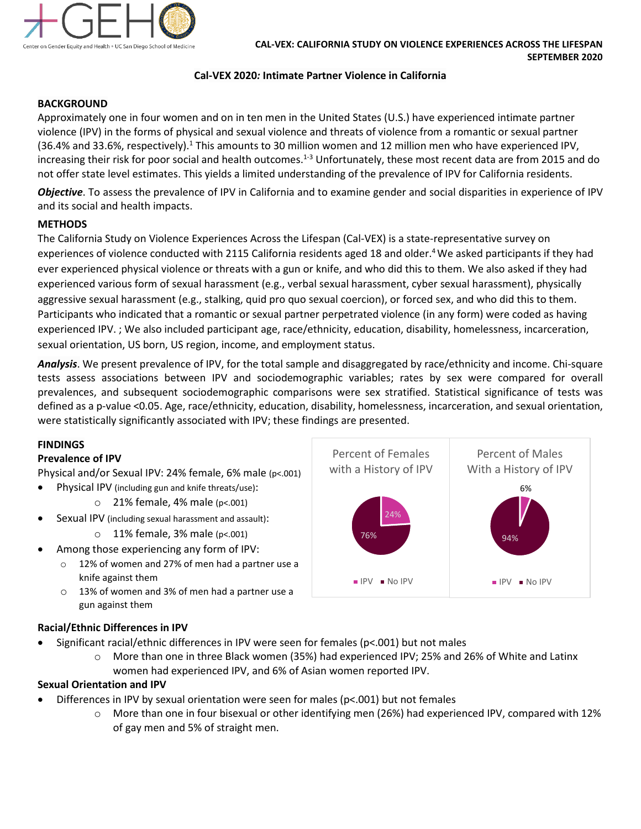

#### **Cal-VEX 2020***:* **Intimate Partner Violence in California**

## **BACKGROUND**

Approximately one in four women and on in ten men in the United States (U.S.) have experienced intimate partner violence (IPV) in the forms of physical and sexual violence and threats of violence from a romantic or sexual partner  $(36.4%$  and 33.6%, respectively).<sup>1</sup> This amounts to 30 million women and 12 million men who have experienced IPV, increasing their risk for poor social and health outcomes.<sup>1-3</sup> Unfortunately, these most recent data are from 2015 and do not offer state level estimates. This yields a limited understanding of the prevalence of IPV for California residents.

*Objective*. To assess the prevalence of IPV in California and to examine gender and social disparities in experience of IPV and its social and health impacts.

### **METHODS**

The California Study on Violence Experiences Across the Lifespan (Cal-VEX) is a state-representative survey on experiences of violence conducted with 2115 California residents aged 18 and older.<sup>4</sup> We asked participants if they had ever experienced physical violence or threats with a gun or knife, and who did this to them. We also asked if they had experienced various form of sexual harassment (e.g., verbal sexual harassment, cyber sexual harassment), physically aggressive sexual harassment (e.g., stalking, quid pro quo sexual coercion), or forced sex, and who did this to them. Participants who indicated that a romantic or sexual partner perpetrated violence (in any form) were coded as having experienced IPV. ; We also included participant age, race/ethnicity, education, disability, homelessness, incarceration, sexual orientation, US born, US region, income, and employment status.

*Analysis*. We present prevalence of IPV, for the total sample and disaggregated by race/ethnicity and income. Chi-square tests assess associations between IPV and sociodemographic variables; rates by sex were compared for overall prevalences, and subsequent sociodemographic comparisons were sex stratified. Statistical significance of tests was defined as a p-value <0.05. Age, race/ethnicity, education, disability, homelessness, incarceration, and sexual orientation, were statistically significantly associated with IPV; these findings are presented.

#### **FINDINGS**

#### **Prevalence of IPV**

Physical and/or Sexual IPV: 24% female, 6% male (p<.001)

- Physical IPV (including gun and knife threats/use):
	- $\circ$  21% female, 4% male (p<.001)
- Sexual IPV (including sexual harassment and assault):
	- $\circ$  11% female, 3% male (p<.001)
	- Among those experiencing any form of IPV:
		- o 12% of women and 27% of men had a partner use a knife against them
		- o 13% of women and 3% of men had a partner use a gun against them

### **Racial/Ethnic Differences in IPV**

- Significant racial/ethnic differences in IPV were seen for females (p<.001) but not males
	- o More than one in three Black women (35%) had experienced IPV; 25% and 26% of White and Latinx women had experienced IPV, and 6% of Asian women reported IPV.

### **Sexual Orientation and IPV**

- Differences in IPV by sexual orientation were seen for males (p<.001) but not females
	- o More than one in four bisexual or other identifying men (26%) had experienced IPV, compared with 12% of gay men and 5% of straight men.